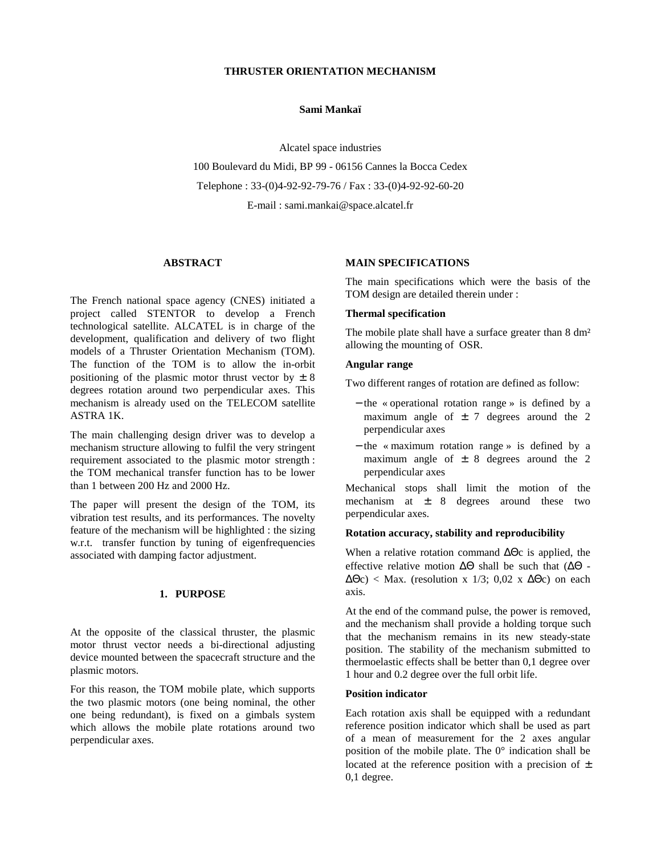## **THRUSTER ORIENTATION MECHANISM**

#### **Sami Mankaï**

Alcatel space industries 100 Boulevard du Midi, BP 99 - 06156 Cannes la Bocca Cedex Telephone : 33-(0)4-92-92-79-76 / Fax : 33-(0)4-92-92-60-20 E-mail : sami.mankai@space.alcatel.fr

### **ABSTRACT**

The French national space agency (CNES) initiated a project called STENTOR to develop a French technological satellite. ALCATEL is in charge of the development, qualification and delivery of two flight models of a Thruster Orientation Mechanism (TOM). The function of the TOM is to allow the in-orbit positioning of the plasmic motor thrust vector by  $\pm 8$ degrees rotation around two perpendicular axes. This mechanism is already used on the TELECOM satellite ASTRA 1K.

The main challenging design driver was to develop a mechanism structure allowing to fulfil the very stringent requirement associated to the plasmic motor strength : the TOM mechanical transfer function has to be lower than 1 between 200 Hz and 2000 Hz.

The paper will present the design of the TOM, its vibration test results, and its performances. The novelty feature of the mechanism will be highlighted : the sizing w.r.t. transfer function by tuning of eigenfrequencies associated with damping factor adjustment.

# **1. PURPOSE**

At the opposite of the classical thruster, the plasmic motor thrust vector needs a bi-directional adjusting device mounted between the spacecraft structure and the plasmic motors.

For this reason, the TOM mobile plate, which supports the two plasmic motors (one being nominal, the other one being redundant), is fixed on a gimbals system which allows the mobile plate rotations around two perpendicular axes.

## **MAIN SPECIFICATIONS**

The main specifications which were the basis of the TOM design are detailed therein under :

### **Thermal specification**

The mobile plate shall have a surface greater than 8 dm<sup>2</sup> allowing the mounting of OSR.

### **Angular range**

Two different ranges of rotation are defined as follow:

- − the « operational rotation range » is defined by a maximum angle of  $\pm$  7 degrees around the 2 perpendicular axes
- − the « maximum rotation range » is defined by a maximum angle of  $\pm$  8 degrees around the 2 perpendicular axes

Mechanical stops shall limit the motion of the mechanism at  $\pm$  8 degrees around these two perpendicular axes.

### **Rotation accuracy, stability and reproducibility**

When a relative rotation command ∆Θc is applied, the effective relative motion ∆Θ shall be such that (∆Θ -  $\Delta\Theta c$ ) < Max. (resolution x 1/3; 0,02 x  $\Delta\Theta c$ ) on each axis.

At the end of the command pulse, the power is removed, and the mechanism shall provide a holding torque such that the mechanism remains in its new steady-state position. The stability of the mechanism submitted to thermoelastic effects shall be better than 0,1 degree over 1 hour and 0.2 degree over the full orbit life.

#### **Position indicator**

Each rotation axis shall be equipped with a redundant reference position indicator which shall be used as part of a mean of measurement for the 2 axes angular position of the mobile plate. The 0° indication shall be located at the reference position with a precision of  $\pm$ 0,1 degree.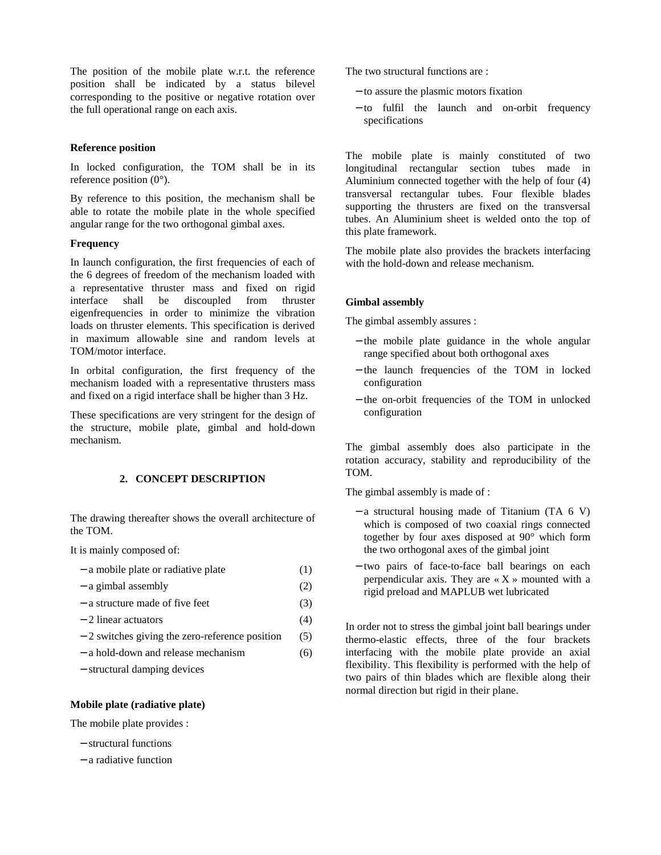The position of the mobile plate w.r.t. the reference position shall be indicated by a status bilevel corresponding to the positive or negative rotation over the full operational range on each axis.

## **Reference position**

In locked configuration, the TOM shall be in its reference position  $(0^{\circ})$ .

By reference to this position, the mechanism shall be able to rotate the mobile plate in the whole specified angular range for the two orthogonal gimbal axes.

# **Frequency**

In launch configuration, the first frequencies of each of the 6 degrees of freedom of the mechanism loaded with a representative thruster mass and fixed on rigid interface shall be discoupled from thruster eigenfrequencies in order to minimize the vibration loads on thruster elements. This specification is derived in maximum allowable sine and random levels at TOM/motor interface.

In orbital configuration, the first frequency of the mechanism loaded with a representative thrusters mass and fixed on a rigid interface shall be higher than 3 Hz.

These specifications are very stringent for the design of the structure, mobile plate, gimbal and hold-down mechanism.

# **2. CONCEPT DESCRIPTION**

The drawing thereafter shows the overall architecture of the TOM.

It is mainly composed of:

| - a mobile plate or radiative plate | (1) |
|-------------------------------------|-----|
| $-$ a gimbal assembly               | (2) |
| - a structure made of five feet     | (3) |

- − 2 linear actuators (4)
- − 2 switches giving the zero-reference position (5)
- 
- − a hold-down and release mechanism (6)
- − structural damping devices

# **Mobile plate (radiative plate)**

The mobile plate provides :

- − structural functions
- − a radiative function

The two structural functions are :

- − to assure the plasmic motors fixation
- − to fulfil the launch and on-orbit frequency specifications

The mobile plate is mainly constituted of two longitudinal rectangular section tubes made in Aluminium connected together with the help of four (4) transversal rectangular tubes. Four flexible blades supporting the thrusters are fixed on the transversal tubes. An Aluminium sheet is welded onto the top of this plate framework.

The mobile plate also provides the brackets interfacing with the hold-down and release mechanism.

## **Gimbal assembly**

The gimbal assembly assures :

- − the mobile plate guidance in the whole angular range specified about both orthogonal axes
- − the launch frequencies of the TOM in locked configuration
- − the on-orbit frequencies of the TOM in unlocked configuration

The gimbal assembly does also participate in the rotation accuracy, stability and reproducibility of the TOM.

The gimbal assembly is made of :

- − a structural housing made of Titanium (TA 6 V) which is composed of two coaxial rings connected together by four axes disposed at 90° which form the two orthogonal axes of the gimbal joint
- − two pairs of face-to-face ball bearings on each perpendicular axis. They are  $\langle X \rangle$  mounted with a rigid preload and MAPLUB wet lubricated

In order not to stress the gimbal joint ball bearings under thermo-elastic effects, three of the four brackets interfacing with the mobile plate provide an axial flexibility. This flexibility is performed with the help of two pairs of thin blades which are flexible along their normal direction but rigid in their plane.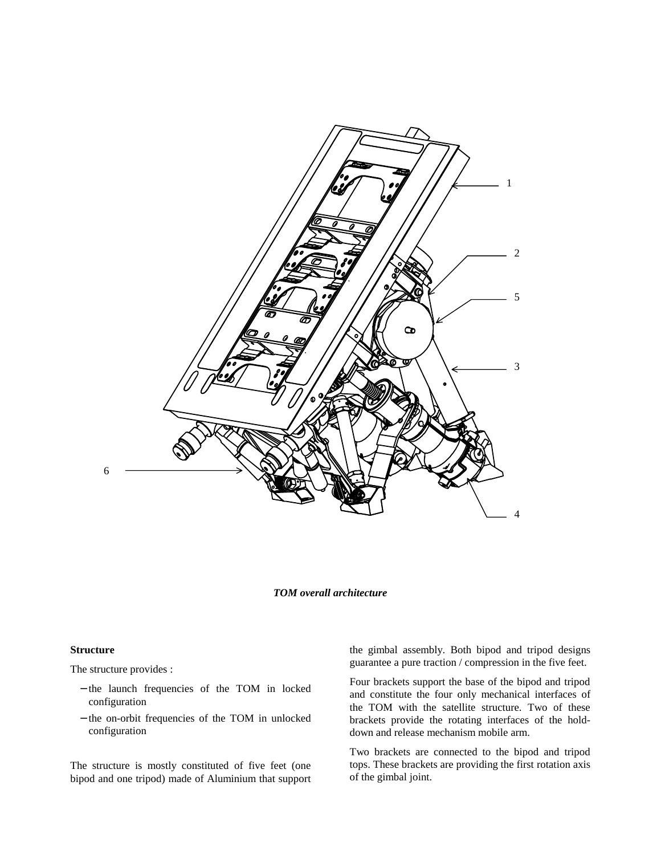

### *TOM overall architecture*

#### **Structure**

The structure provides :

- − the launch frequencies of the TOM in locked configuration
- − the on-orbit frequencies of the TOM in unlocked configuration

The structure is mostly constituted of five feet (one bipod and one tripod) made of Aluminium that support the gimbal assembly. Both bipod and tripod designs guarantee a pure traction / compression in the five feet.

Four brackets support the base of the bipod and tripod and constitute the four only mechanical interfaces of the TOM with the satellite structure. Two of these brackets provide the rotating interfaces of the holddown and release mechanism mobile arm.

Two brackets are connected to the bipod and tripod tops. These brackets are providing the first rotation axis of the gimbal joint.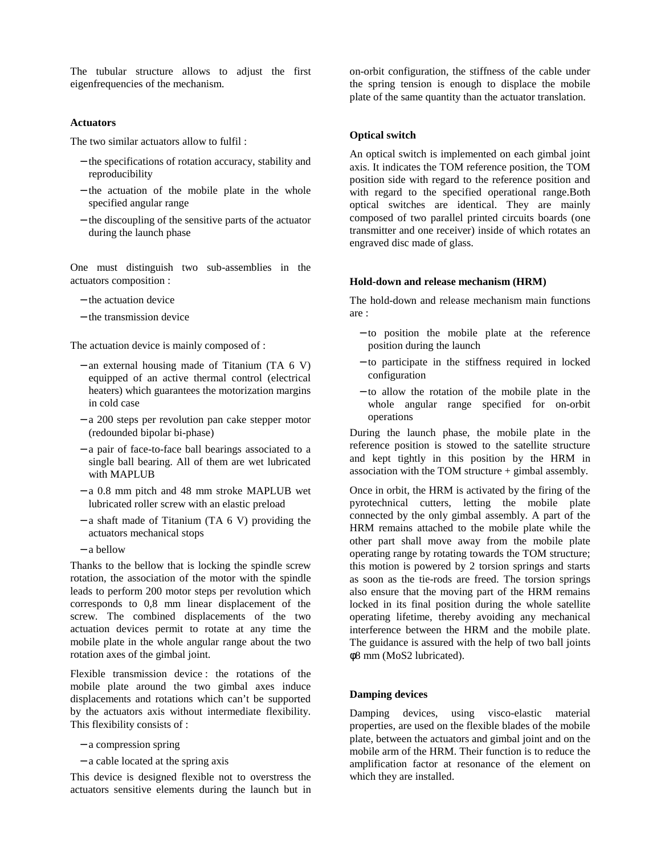The tubular structure allows to adjust the first eigenfrequencies of the mechanism.

#### **Actuators**

The two similar actuators allow to fulfil :

- − the specifications of rotation accuracy, stability and reproducibility
- − the actuation of the mobile plate in the whole specified angular range
- − the discoupling of the sensitive parts of the actuator during the launch phase

One must distinguish two sub-assemblies in the actuators composition :

- − the actuation device
- − the transmission device

The actuation device is mainly composed of :

- − an external housing made of Titanium (TA 6 V) equipped of an active thermal control (electrical heaters) which guarantees the motorization margins in cold case
- − a 200 steps per revolution pan cake stepper motor (redounded bipolar bi-phase)
- − a pair of face-to-face ball bearings associated to a single ball bearing. All of them are wet lubricated with MAPLUB
- − a 0.8 mm pitch and 48 mm stroke MAPLUB wet lubricated roller screw with an elastic preload
- − a shaft made of Titanium (TA 6 V) providing the actuators mechanical stops
- − a bellow

Thanks to the bellow that is locking the spindle screw rotation, the association of the motor with the spindle leads to perform 200 motor steps per revolution which corresponds to 0,8 mm linear displacement of the screw. The combined displacements of the two actuation devices permit to rotate at any time the mobile plate in the whole angular range about the two rotation axes of the gimbal joint.

Flexible transmission device : the rotations of the mobile plate around the two gimbal axes induce displacements and rotations which can't be supported by the actuators axis without intermediate flexibility. This flexibility consists of :

- − a compression spring
- − a cable located at the spring axis

This device is designed flexible not to overstress the actuators sensitive elements during the launch but in on-orbit configuration, the stiffness of the cable under the spring tension is enough to displace the mobile plate of the same quantity than the actuator translation.

#### **Optical switch**

An optical switch is implemented on each gimbal joint axis. It indicates the TOM reference position, the TOM position side with regard to the reference position and with regard to the specified operational range.Both optical switches are identical. They are mainly composed of two parallel printed circuits boards (one transmitter and one receiver) inside of which rotates an engraved disc made of glass.

#### **Hold-down and release mechanism (HRM)**

The hold-down and release mechanism main functions are :

- − to position the mobile plate at the reference position during the launch
- − to participate in the stiffness required in locked configuration
- − to allow the rotation of the mobile plate in the whole angular range specified for on-orbit operations

During the launch phase, the mobile plate in the reference position is stowed to the satellite structure and kept tightly in this position by the HRM in association with the TOM structure + gimbal assembly.

Once in orbit, the HRM is activated by the firing of the pyrotechnical cutters, letting the mobile plate connected by the only gimbal assembly. A part of the HRM remains attached to the mobile plate while the other part shall move away from the mobile plate operating range by rotating towards the TOM structure; this motion is powered by 2 torsion springs and starts as soon as the tie-rods are freed. The torsion springs also ensure that the moving part of the HRM remains locked in its final position during the whole satellite operating lifetime, thereby avoiding any mechanical interference between the HRM and the mobile plate. The guidance is assured with the help of two ball joints φ8 mm (MoS2 lubricated).

### **Damping devices**

Damping devices, using visco-elastic material properties, are used on the flexible blades of the mobile plate, between the actuators and gimbal joint and on the mobile arm of the HRM. Their function is to reduce the amplification factor at resonance of the element on which they are installed.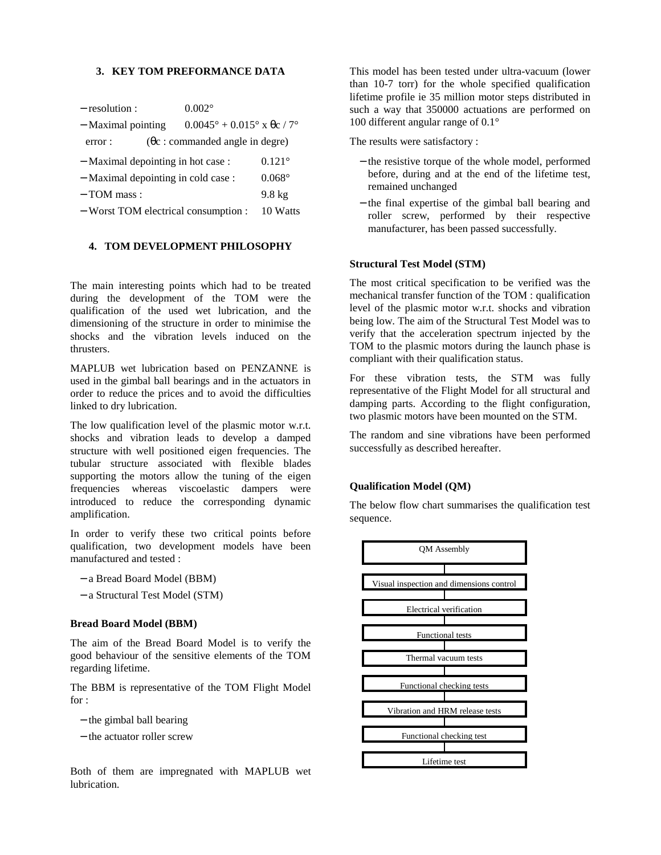## **3. KEY TOM PREFORMANCE DATA**

| - resolution :                       | $0.002^{\circ}$                                    |                  |
|--------------------------------------|----------------------------------------------------|------------------|
| - Maximal pointing                   | $0.0045^{\circ} + 0.015^{\circ}$ x $\theta$ c / 7° |                  |
| error:                               | $(\theta c:$ commanded angle in degre)             |                  |
| - Maximal depointing in hot case :   |                                                    | $0.121^{\circ}$  |
| - Maximal depointing in cold case:   |                                                    | $0.068^\circ$    |
| $-$ TOM mass :                       |                                                    | $9.8 \text{ kg}$ |
| - Worst TOM electrical consumption : |                                                    | 10 Watts         |

# **4. TOM DEVELOPMENT PHILOSOPHY**

The main interesting points which had to be treated during the development of the TOM were the qualification of the used wet lubrication, and the dimensioning of the structure in order to minimise the shocks and the vibration levels induced on the thrusters.

MAPLUB wet lubrication based on PENZANNE is used in the gimbal ball bearings and in the actuators in order to reduce the prices and to avoid the difficulties linked to dry lubrication.

The low qualification level of the plasmic motor w.r.t. shocks and vibration leads to develop a damped structure with well positioned eigen frequencies. The tubular structure associated with flexible blades supporting the motors allow the tuning of the eigen frequencies whereas viscoelastic dampers were introduced to reduce the corresponding dynamic amplification.

In order to verify these two critical points before qualification, two development models have been manufactured and tested :

- − a Bread Board Model (BBM)
- − a Structural Test Model (STM)

#### **Bread Board Model (BBM)**

The aim of the Bread Board Model is to verify the good behaviour of the sensitive elements of the TOM regarding lifetime.

The BBM is representative of the TOM Flight Model for :

- − the gimbal ball bearing
- − the actuator roller screw

Both of them are impregnated with MAPLUB wet lubrication.

This model has been tested under ultra-vacuum (lower than 10-7 torr) for the whole specified qualification lifetime profile ie 35 million motor steps distributed in such a way that 350000 actuations are performed on 100 different angular range of 0.1°

The results were satisfactory :

- − the resistive torque of the whole model, performed before, during and at the end of the lifetime test, remained unchanged
- − the final expertise of the gimbal ball bearing and roller screw, performed by their respective manufacturer, has been passed successfully.

#### **Structural Test Model (STM)**

The most critical specification to be verified was the mechanical transfer function of the TOM : qualification level of the plasmic motor w.r.t. shocks and vibration being low. The aim of the Structural Test Model was to verify that the acceleration spectrum injected by the TOM to the plasmic motors during the launch phase is compliant with their qualification status.

For these vibration tests, the STM was fully representative of the Flight Model for all structural and damping parts. According to the flight configuration, two plasmic motors have been mounted on the STM.

The random and sine vibrations have been performed successfully as described hereafter.

### **Qualification Model (QM)**

The below flow chart summarises the qualification test sequence.

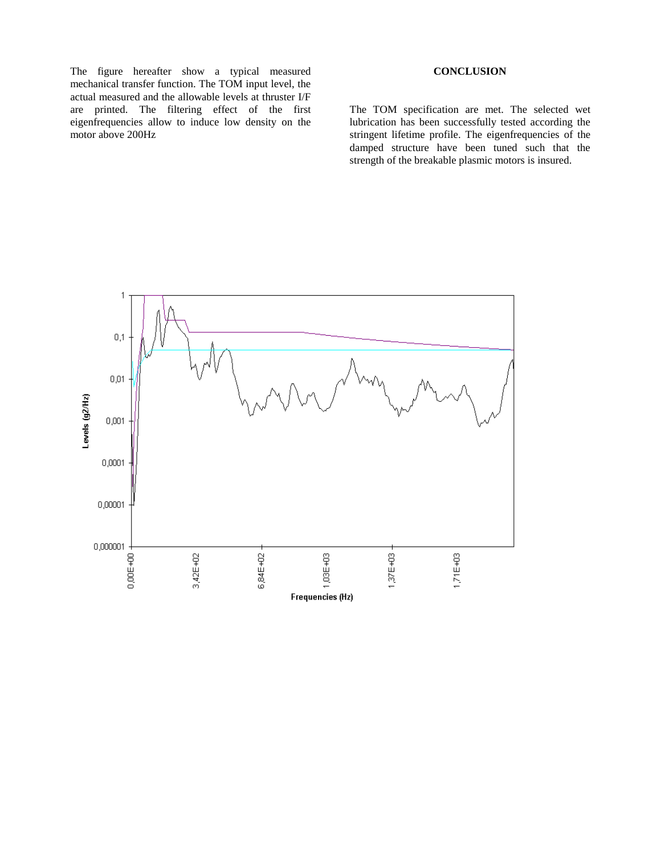The figure hereafter show a typical measured mechanical transfer function. The TOM input level, the actual measured and the allowable levels at thruster I/F are printed. The filtering effect of the first eigenfrequencies allow to induce low density on the motor above 200Hz

# **CONCLUSION**

The TOM specification are met. The selected wet lubrication has been successfully tested according the stringent lifetime profile. The eigenfrequencies of the damped structure have been tuned such that the strength of the breakable plasmic motors is insured.